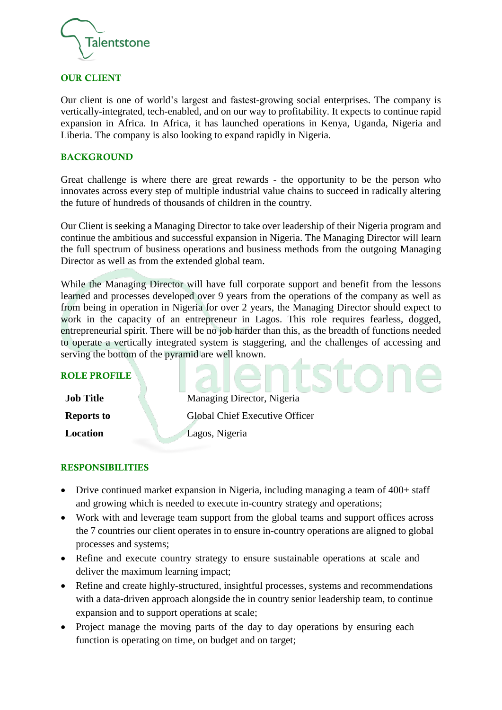

#### OUR CLIENT

Our client is one of world's largest and fastest-growing social enterprises. The company is vertically-integrated, tech-enabled, and on our way to profitability. It expects to continue rapid expansion in Africa. In Africa, it has launched operations in Kenya, Uganda, Nigeria and Liberia. The company is also looking to expand rapidly in Nigeria.

#### BACKGROUND

Great challenge is where there are great rewards - the opportunity to be the person who innovates across every step of multiple industrial value chains to succeed in radically altering the future of hundreds of thousands of children in the country.

Our Client is seeking a Managing Director to take over leadership of their Nigeria program and continue the ambitious and successful expansion in Nigeria. The Managing Director will learn the full spectrum of business operations and business methods from the outgoing Managing Director as well as from the extended global team.

While the Managing Director will have full corporate support and benefit from the lessons learned and processes developed over 9 years from the operations of the company as well as from being in operation in Nigeria for over 2 years, the Managing Director should expect to work in the capacity of an entrepreneur in Lagos. This role requires fearless, dogged, entrepreneurial spirit. There will be no job harder than this, as the breadth of functions needed to operate a vertically integrated system is staggering, and the challenges of accessing and serving the bottom of the pyramid are well known.

| <b>ROLE PROFILE</b> |                                |
|---------------------|--------------------------------|
| <b>Job Title</b>    | Managing Director, Nigeria     |
| <b>Reports to</b>   | Global Chief Executive Officer |
| Location            | Lagos, Nigeria                 |

#### RESPONSIBILITIES

- Drive continued market expansion in Nigeria, including managing a team of 400+ staff and growing which is needed to execute in-country strategy and operations;
- Work with and leverage team support from the global teams and support offices across the 7 countries our client operates in to ensure in-country operations are aligned to global processes and systems;
- Refine and execute country strategy to ensure sustainable operations at scale and deliver the maximum learning impact;
- Refine and create highly-structured, insightful processes, systems and recommendations with a data-driven approach alongside the in country senior leadership team, to continue expansion and to support operations at scale;
- Project manage the moving parts of the day to day operations by ensuring each function is operating on time, on budget and on target;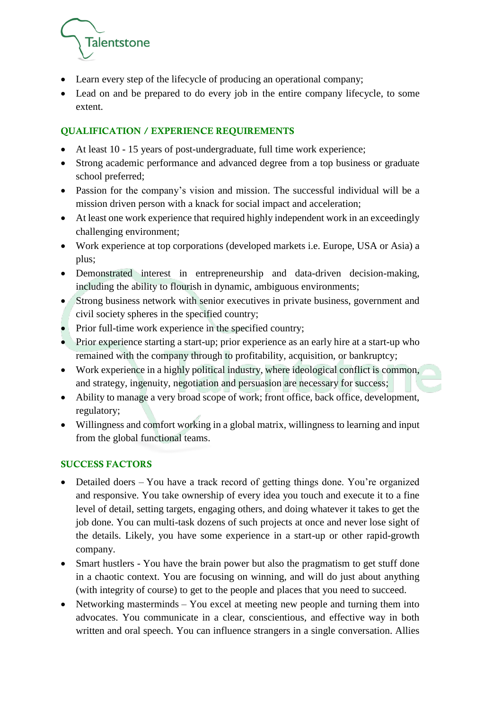

- Learn every step of the lifecycle of producing an operational company;
- Lead on and be prepared to do every job in the entire company lifecycle, to some extent.

# QUALIFICATION / EXPERIENCE REQUIREMENTS

- At least 10 15 years of post-undergraduate, full time work experience;
- Strong academic performance and advanced degree from a top business or graduate school preferred;
- Passion for the company's vision and mission. The successful individual will be a mission driven person with a knack for social impact and acceleration;
- At least one work experience that required highly independent work in an exceedingly challenging environment;
- Work experience at top corporations (developed markets i.e. Europe, USA or Asia) a plus;
- Demonstrated interest in entrepreneurship and data-driven decision-making, including the ability to flourish in dynamic, ambiguous environments;
- Strong business network with senior executives in private business, government and civil society spheres in the specified country;
- Prior full-time work experience in the specified country:
- Prior experience starting a start-up; prior experience as an early hire at a start-up who remained with the company through to profitability, acquisition, or bankruptcy;
- Work experience in a highly political industry, where ideological conflict is common, and strategy, ingenuity, negotiation and persuasion are necessary for success;
- Ability to manage a very broad scope of work; front office, back office, development, regulatory;
- Willingness and comfort working in a global matrix, willingness to learning and input from the global functional teams.

## SUCCESS FACTORS

- Detailed doers You have a track record of getting things done. You're organized and responsive. You take ownership of every idea you touch and execute it to a fine level of detail, setting targets, engaging others, and doing whatever it takes to get the job done. You can multi-task dozens of such projects at once and never lose sight of the details. Likely, you have some experience in a start-up or other rapid-growth company.
- Smart hustlers You have the brain power but also the pragmatism to get stuff done in a chaotic context. You are focusing on winning, and will do just about anything (with integrity of course) to get to the people and places that you need to succeed.
- Networking masterminds You excel at meeting new people and turning them into advocates. You communicate in a clear, conscientious, and effective way in both written and oral speech. You can influence strangers in a single conversation. Allies